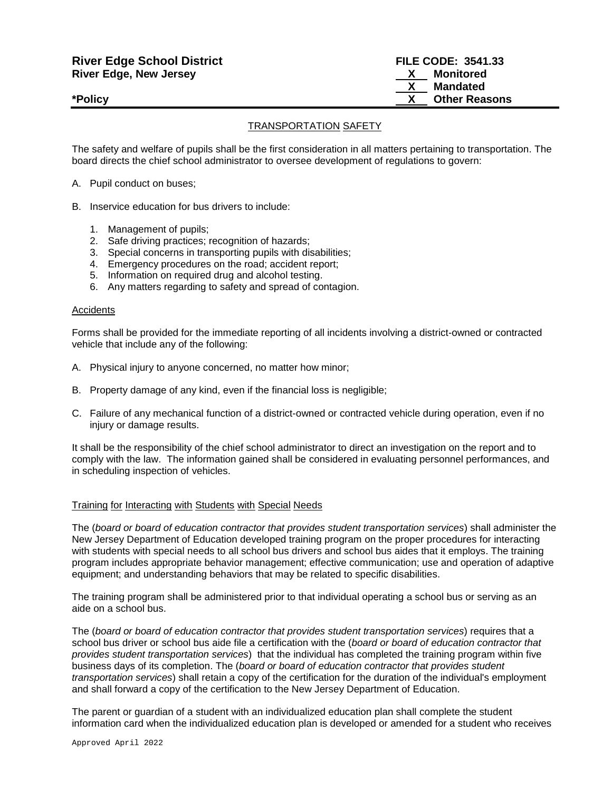| <b>River Edge School District</b><br><b>River Edge, New Jersey</b> | <b>FILE CODE: 3541.33</b><br>Monitored |
|--------------------------------------------------------------------|----------------------------------------|
|                                                                    | Mandated                               |
| *Policy                                                            | <b>Other Reasons</b>                   |

# TRANSPORTATION SAFETY

The safety and welfare of pupils shall be the first consideration in all matters pertaining to transportation. The board directs the chief school administrator to oversee development of regulations to govern:

- A. Pupil conduct on buses;
- B. Inservice education for bus drivers to include:
	- 1. Management of pupils;
	- 2. Safe driving practices; recognition of hazards;
	- 3. Special concerns in transporting pupils with disabilities;
	- 4. Emergency procedures on the road; accident report;
	- 5. Information on required drug and alcohol testing.
	- 6. Any matters regarding to safety and spread of contagion.

#### Accidents

Forms shall be provided for the immediate reporting of all incidents involving a district-owned or contracted vehicle that include any of the following:

- A. Physical injury to anyone concerned, no matter how minor;
- B. Property damage of any kind, even if the financial loss is negligible;
- C. Failure of any mechanical function of a district-owned or contracted vehicle during operation, even if no injury or damage results.

It shall be the responsibility of the chief school administrator to direct an investigation on the report and to comply with the law. The information gained shall be considered in evaluating personnel performances, and in scheduling inspection of vehicles.

#### Training for Interacting with Students with Special Needs

The (*board or board of education contractor that provides student transportation services*) shall administer the New Jersey Department of Education developed training program on the proper procedures for interacting with students with special needs to all school bus drivers and school bus aides that it employs. The training program includes appropriate behavior management; effective communication; use and operation of adaptive equipment; and understanding behaviors that may be related to specific disabilities.

The training program shall be administered prior to that individual operating a school bus or serving as an aide on a school bus.

The (*board or board of education contractor that provides student transportation services*) requires that a school bus driver or school bus aide file a certification with the (*board or board of education contractor that provides student transportation services*) that the individual has completed the training program within five business days of its completion. The (*board or board of education contractor that provides student transportation services*) shall retain a copy of the certification for the duration of the individual's employment and shall forward a copy of the certification to the New Jersey Department of Education.

The parent or guardian of a student with an individualized education plan shall complete the student information card when the individualized education plan is developed or amended for a student who receives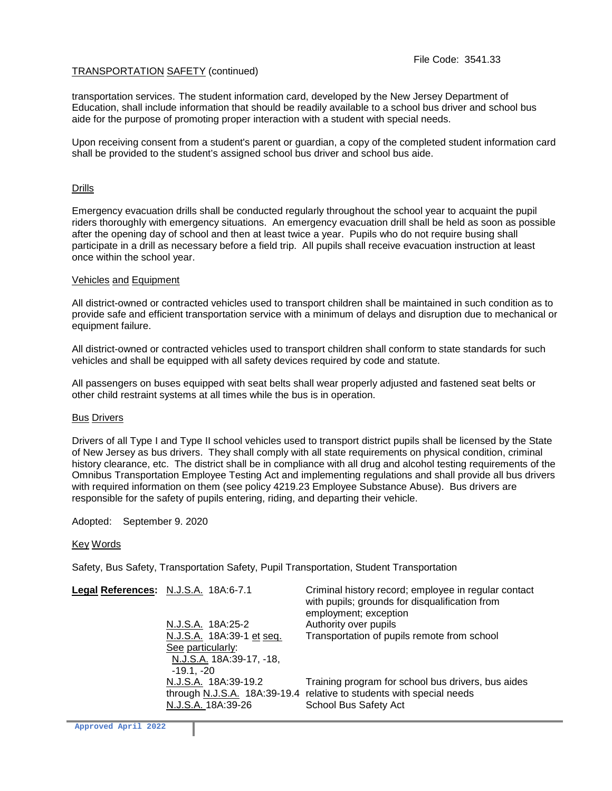# TRANSPORTATION SAFETY (continued)

transportation services. The student information card, developed by the New Jersey Department of Education, shall include information that should be readily available to a school bus driver and school bus aide for the purpose of promoting proper interaction with a student with special needs.

Upon receiving consent from a student's parent or guardian, a copy of the completed student information card shall be provided to the student's assigned school bus driver and school bus aide.

## Drills

Emergency evacuation drills shall be conducted regularly throughout the school year to acquaint the pupil riders thoroughly with emergency situations. An emergency evacuation drill shall be held as soon as possible after the opening day of school and then at least twice a year. Pupils who do not require busing shall participate in a drill as necessary before a field trip.All pupils shall receive evacuation instruction at least once within the school year.

### Vehicles and Equipment

All district-owned or contracted vehicles used to transport children shall be maintained in such condition as to provide safe and efficient transportation service with a minimum of delays and disruption due to mechanical or equipment failure.

All district-owned or contracted vehicles used to transport children shall conform to state standards for such vehicles and shall be equipped with all safety devices required by code and statute.

All passengers on buses equipped with seat belts shall wear properly adjusted and fastened seat belts or other child restraint systems at all times while the bus is in operation.

### Bus Drivers

Drivers of all Type I and Type II school vehicles used to transport district pupils shall be licensed by the State of New Jersey as bus drivers. They shall comply with all state requirements on physical condition, criminal history clearance, etc. The district shall be in compliance with all drug and alcohol testing requirements of the Omnibus Transportation Employee Testing Act and implementing regulations and shall provide all bus drivers with required information on them (see policy 4219.23 Employee Substance Abuse). Bus drivers are responsible for the safety of pupils entering, riding, and departing their vehicle.

Adopted: September 9. 2020

# Key Words

Safety, Bus Safety, Transportation Safety, Pupil Transportation, Student Transportation

| Legal References: N.J.S.A. 18A:6-7.1 |                                                                                            | Criminal history record; employee in regular contact<br>with pupils; grounds for disqualification from<br>employment; exception                            |
|--------------------------------------|--------------------------------------------------------------------------------------------|------------------------------------------------------------------------------------------------------------------------------------------------------------|
|                                      | N.J.S.A. 18A:25-2                                                                          | Authority over pupils                                                                                                                                      |
|                                      | N.J.S.A. 18A:39-1 et seq.<br>See particularly:<br>N.J.S.A. 18A:39-17, -18,<br>$-19.1. -20$ | Transportation of pupils remote from school                                                                                                                |
|                                      | N.J.S.A. 18A:39-19.2<br>N.J.S.A. 18A:39-26                                                 | Training program for school bus drivers, bus aides<br>through N.J.S.A. 18A:39-19.4 relative to students with special needs<br><b>School Bus Safety Act</b> |